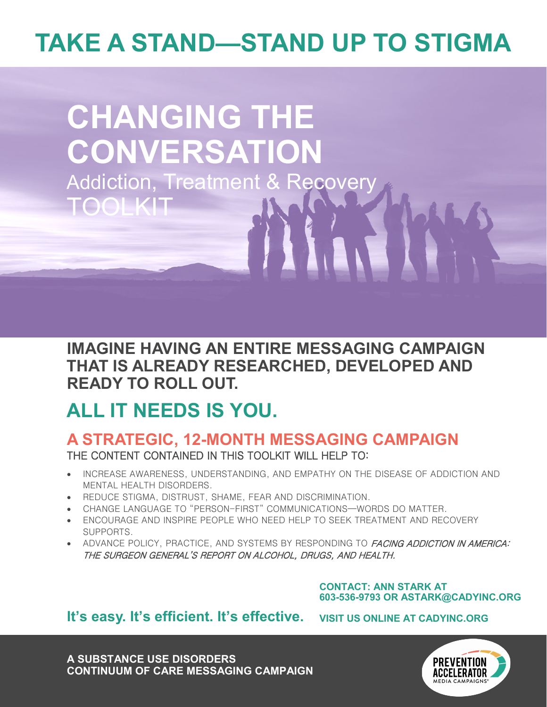# **TAKE A STAND—STAND UP TO STIGMA**

# **CHANGING THE CONVERSATION** Addiction, Treatment & Recovery TOOLKIT

### **IMAGINE HAVING AN ENTIRE MESSAGING CAMPAIGN THAT IS ALREADY RESEARCHED, DEVELOPED AND READY TO ROLL OUT.**

## **ALL IT NEEDS IS YOU.**

#### **A STRATEGIC, 12-MONTH MESSAGING CAMPAIGN** THE CONTENT CONTAINED IN THIS TOOLKIT WILL HELP TO:

- INCREASE AWARENESS, UNDERSTANDING, AND EMPATHY ON THE DISEASE OF ADDICTION AND MENTAL HEALTH DISORDERS.
- REDUCE STIGMA, DISTRUST, SHAME, FEAR AND DISCRIMINATION.
- CHANGE LANGUAGE TO "PERSON-FIRST" COMMUNICATIONS—WORDS DO MATTER.
- ENCOURAGE AND INSPIRE PEOPLE WHO NEED HELP TO SEEK TREATMENT AND RECOVERY SUPPORTS.
- ADVANCE POLICY, PRACTICE, AND SYSTEMS BY RESPONDING TO FACING ADDICTION IN AMERICA: THE SURGEON GENERAL'S REPORT ON ALCOHOL, DRUGS, AND HEALTH.

**CONTACT: ANN STARK AT 603-536-9793 OR ASTARK@CADYINC.ORG**

#### **It's easy. It's efficient. It's effective.**

**VISIT US ONLINE AT CADYINC.ORG**

**A SUBSTANCE USE DISORDERS CONTINUUM OF CARE MESSAGING CAMPAIGN**